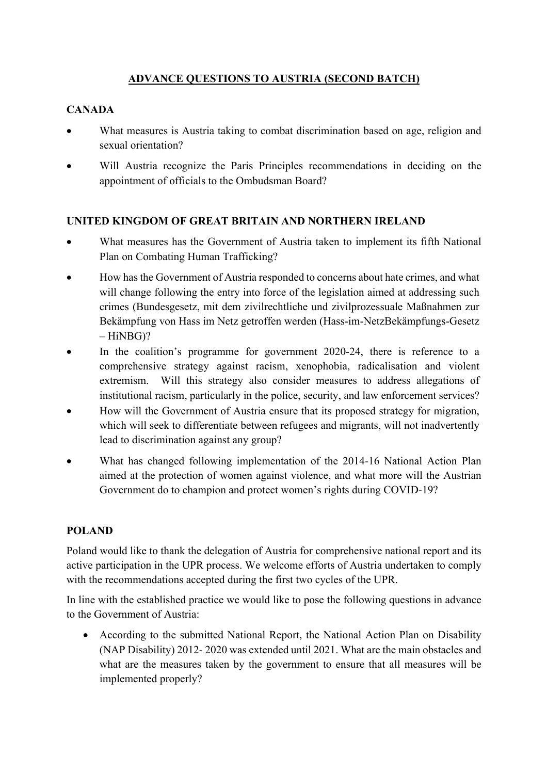## **ADVANCE QUESTIONS TO AUSTRIA (SECOND BATCH)**

## **CANADA**

- What measures is Austria taking to combat discrimination based on age, religion and sexual orientation?
- Will Austria recognize the Paris Principles recommendations in deciding on the appointment of officials to the Ombudsman Board?

## **UNITED KINGDOM OF GREAT BRITAIN AND NORTHERN IRELAND**

- What measures has the Government of Austria taken to implement its fifth National Plan on Combating Human Trafficking?
- How has the Government of Austria responded to concerns about hate crimes, and what will change following the entry into force of the legislation aimed at addressing such crimes (Bundesgesetz, mit dem zivilrechtliche und zivilprozessuale Maßnahmen zur Bekämpfung von Hass im Netz getroffen werden (Hass-im-NetzBekämpfungs-Gesetz  $-HiNBG$ ?
- In the coalition's programme for government 2020-24, there is reference to a comprehensive strategy against racism, xenophobia, radicalisation and violent extremism. Will this strategy also consider measures to address allegations of institutional racism, particularly in the police, security, and law enforcement services?
- How will the Government of Austria ensure that its proposed strategy for migration, which will seek to differentiate between refugees and migrants, will not inadvertently lead to discrimination against any group?
- What has changed following implementation of the 2014-16 National Action Plan aimed at the protection of women against violence, and what more will the Austrian Government do to champion and protect women's rights during COVID-19?

## **POLAND**

Poland would like to thank the delegation of Austria for comprehensive national report and its active participation in the UPR process. We welcome efforts of Austria undertaken to comply with the recommendations accepted during the first two cycles of the UPR.

In line with the established practice we would like to pose the following questions in advance to the Government of Austria:

• According to the submitted National Report, the National Action Plan on Disability (NAP Disability) 2012- 2020 was extended until 2021. What are the main obstacles and what are the measures taken by the government to ensure that all measures will be implemented properly?